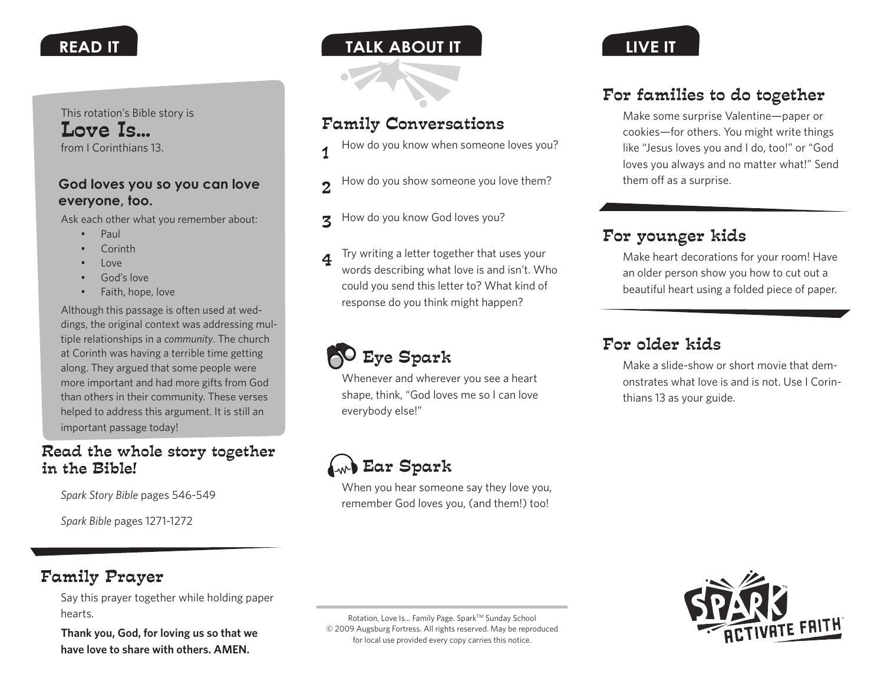This rotation's Bible story is Love Is... from I Corinthians 13.

#### **God loves you so you can love everyone, too.**

Ask each other what you remember about:

- Paul
- • Corinth
- Love
- God's love
- Faith, hope, love

Although this passage is often used at weddings, the original context was addressing multiple relationships in a *community*. The church at Corinth was having a terrible time getting along. They argued that some people were more important and had more gifts from God than others in their community. These verses helped to address this argument. It is still an important passage today!

## Read the whole story together in the Bible!

*Spark Story Bible* pages 546-549

*Spark Bible* pages 1271-1272

## **READ IT the IT talk about it the IT the IT the IT the IT the IT the IT the IT the IT the IT the IT the IT the IT the IT the IT the IT the IT the IT the IT the IT the IT the IT**

## Family Conversations

- How do you know when someone loves you? 1
- How do you show someone you love them?  $\mathcal{D}$
- How do you know God loves you? 2
- Try writing a letter together that uses your words describing what love is and isn't. Who could you send this letter to? What kind of response do you think might happen? 4



Whenever and wherever you see a heart shape, think, "God loves me so I can love everybody else!"

# Ear Spark

When you hear someone say they love you, remember God loves you, (and them!) too!



## For families to do together

Make some surprise Valentine—paper or cookies—for others. You might write things like "Jesus loves you and I do, too!" or "God loves you always and no matter what!" Send them off as a surprise.

# For younger kids

Make heart decorations for your room! Have an older person show you how to cut out a beautiful heart using a folded piece of paper.

# For older kids

Make a slide-show or short movie that demonstrates what love is and is not. Use I Corinthians 13 as your guide.

## Family Prayer

Say this prayer together while holding paper hearts.

**Thank you, God, for loving us so that we have love to share with others. AMEN.**

Rotation, Love Is... Family Page. Spark™ Sunday School © 2009 Augsburg Fortress. All rights reserved. May be reproduced for local use provided every copy carries this notice.